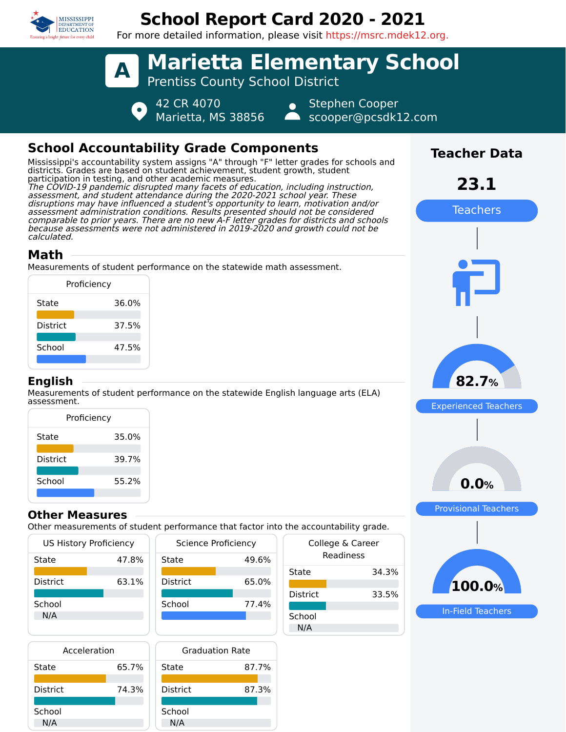

# **School Report Card 2020 - 2021**

For more detailed information, please visit https://msrc.mdek12.org.



## **School Accountability Grade Components**

Mississippi's accountability system assigns "A" through "F" letter grades for schools and districts. Grades are based on student achievement, student growth, student participation in testing, and other academic measures. The COVID-19 pandemic disrupted many facets of education, including instruction, assessment, and student attendance during the 2020-2021 school year. These disruptions may have influenced a student's opportunity to learn, motivation and/or assessment administration conditions. Results presented should not be considered comparable to prior years. There are no new A-F letter grades for districts and schools because assessments were not administered in 2019-2020 and growth could not be calculated.

## **Math**

Measurements of student performance on the statewide math assessment.

|                 | Proficiency |
|-----------------|-------------|
| State           | 36.0%       |
| <b>District</b> | 37.5%       |
| School          | 47.5%       |
|                 |             |

#### **English**

Measurements of student performance on the statewide English language arts (ELA) assessment.

| Proficiency     |       |  |  |  |
|-----------------|-------|--|--|--|
| State           | 35.0% |  |  |  |
| <b>District</b> | 39.7% |  |  |  |
| School          | 55.2% |  |  |  |
|                 |       |  |  |  |

#### **Other Measures**

Other measurements of student performance that factor into the accountabilit

| <b>US History Proficiency</b> | Science Pro |                 |  |  |
|-------------------------------|-------------|-----------------|--|--|
| State                         | 47.8%       | State           |  |  |
|                               |             |                 |  |  |
| <b>District</b>               | 63.1%       | <b>District</b> |  |  |
| School                        |             | School          |  |  |
| N/A                           |             |                 |  |  |
|                               |             |                 |  |  |
|                               |             |                 |  |  |

| Acceleration    | Gradı |                 |  |  |
|-----------------|-------|-----------------|--|--|
| State           | 65.7% | State           |  |  |
| <b>District</b> | 74.3% | <b>District</b> |  |  |
| School<br>N/A   |       | School<br>N/A   |  |  |



|                 | <b>Graduation Rate</b> |
|-----------------|------------------------|
| State           | 87.7%                  |
| <b>District</b> | 87.3%                  |
| School          |                        |

|                               | the accountability grade. |  |  |
|-------------------------------|---------------------------|--|--|
| College & Career<br>Readiness |                           |  |  |
| State                         | 34.3%                     |  |  |
| District                      | 33.5%                     |  |  |
| School<br>N/A                 |                           |  |  |
|                               |                           |  |  |



**Teacher Data**

**23.1**

Teachers